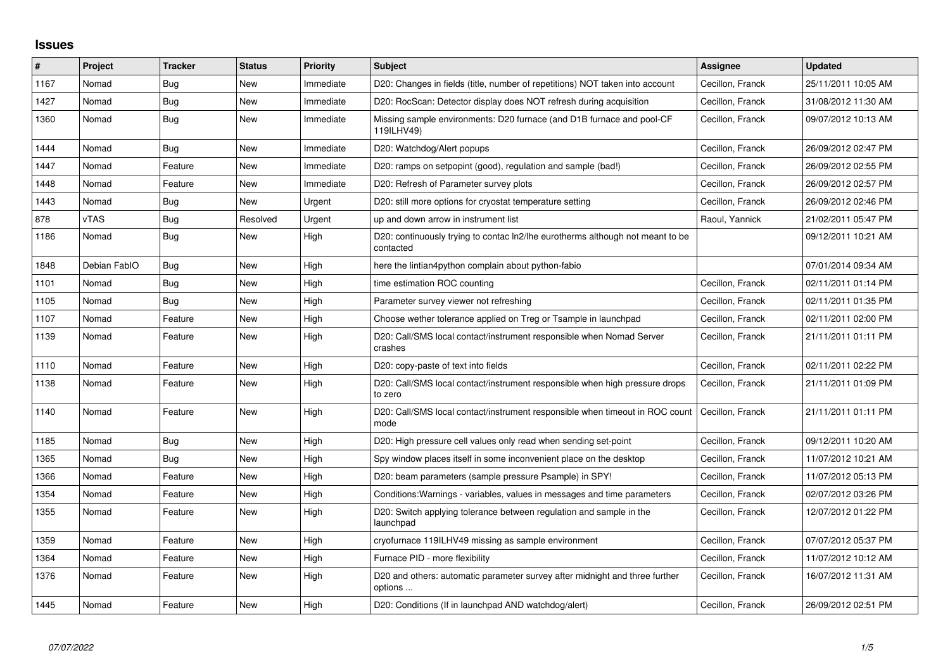## **Issues**

| #    | Project      | <b>Tracker</b> | <b>Status</b> | <b>Priority</b> | <b>Subject</b>                                                                              | <b>Assignee</b>  | <b>Updated</b>      |
|------|--------------|----------------|---------------|-----------------|---------------------------------------------------------------------------------------------|------------------|---------------------|
| 1167 | Nomad        | <b>Bug</b>     | New           | Immediate       | D20: Changes in fields (title, number of repetitions) NOT taken into account                | Cecillon, Franck | 25/11/2011 10:05 AM |
| 1427 | Nomad        | Bug            | <b>New</b>    | Immediate       | D20: RocScan: Detector display does NOT refresh during acquisition                          | Cecillon, Franck | 31/08/2012 11:30 AM |
| 1360 | Nomad        | Bug            | New           | Immediate       | Missing sample environments: D20 furnace (and D1B furnace and pool-CF<br>119ILHV49)         | Cecillon, Franck | 09/07/2012 10:13 AM |
| 1444 | Nomad        | Bug            | <b>New</b>    | Immediate       | D20: Watchdog/Alert popups                                                                  | Cecillon, Franck | 26/09/2012 02:47 PM |
| 1447 | Nomad        | Feature        | New           | Immediate       | D20: ramps on setpopint (good), regulation and sample (bad!)                                | Cecillon, Franck | 26/09/2012 02:55 PM |
| 1448 | Nomad        | Feature        | <b>New</b>    | Immediate       | D20: Refresh of Parameter survey plots                                                      | Cecillon, Franck | 26/09/2012 02:57 PM |
| 1443 | Nomad        | Bug            | <b>New</b>    | Urgent          | D20: still more options for cryostat temperature setting                                    | Cecillon, Franck | 26/09/2012 02:46 PM |
| 878  | vTAS         | Bug            | Resolved      | Urgent          | up and down arrow in instrument list                                                        | Raoul, Yannick   | 21/02/2011 05:47 PM |
| 1186 | Nomad        | <b>Bug</b>     | <b>New</b>    | High            | D20: continuously trying to contac ln2/lhe eurotherms although not meant to be<br>contacted |                  | 09/12/2011 10:21 AM |
| 1848 | Debian FablO | Bug            | New           | High            | here the lintian4python complain about python-fabio                                         |                  | 07/01/2014 09:34 AM |
| 1101 | Nomad        | Bug            | <b>New</b>    | High            | time estimation ROC counting                                                                | Cecillon, Franck | 02/11/2011 01:14 PM |
| 1105 | Nomad        | Bug            | New           | High            | Parameter survey viewer not refreshing                                                      | Cecillon, Franck | 02/11/2011 01:35 PM |
| 1107 | Nomad        | Feature        | New           | High            | Choose wether tolerance applied on Treg or Tsample in launchpad                             | Cecillon, Franck | 02/11/2011 02:00 PM |
| 1139 | Nomad        | Feature        | New           | High            | D20: Call/SMS local contact/instrument responsible when Nomad Server<br>crashes             | Cecillon, Franck | 21/11/2011 01:11 PM |
| 1110 | Nomad        | Feature        | <b>New</b>    | High            | D20: copy-paste of text into fields                                                         | Cecillon, Franck | 02/11/2011 02:22 PM |
| 1138 | Nomad        | Feature        | New           | High            | D20: Call/SMS local contact/instrument responsible when high pressure drops<br>to zero      | Cecillon, Franck | 21/11/2011 01:09 PM |
| 1140 | Nomad        | Feature        | <b>New</b>    | High            | D20: Call/SMS local contact/instrument responsible when timeout in ROC count<br>mode        | Cecillon, Franck | 21/11/2011 01:11 PM |
| 1185 | Nomad        | Bug            | <b>New</b>    | High            | D20: High pressure cell values only read when sending set-point                             | Cecillon, Franck | 09/12/2011 10:20 AM |
| 1365 | Nomad        | Bug            | New           | High            | Spy window places itself in some inconvenient place on the desktop                          | Cecillon, Franck | 11/07/2012 10:21 AM |
| 1366 | Nomad        | Feature        | <b>New</b>    | High            | D20: beam parameters (sample pressure Psample) in SPY!                                      | Cecillon, Franck | 11/07/2012 05:13 PM |
| 1354 | Nomad        | Feature        | New           | High            | Conditions: Warnings - variables, values in messages and time parameters                    | Cecillon, Franck | 02/07/2012 03:26 PM |
| 1355 | Nomad        | Feature        | <b>New</b>    | High            | D20: Switch applying tolerance between regulation and sample in the<br>launchpad            | Cecillon, Franck | 12/07/2012 01:22 PM |
| 1359 | Nomad        | Feature        | New           | High            | cryofurnace 119ILHV49 missing as sample environment                                         | Cecillon, Franck | 07/07/2012 05:37 PM |
| 1364 | Nomad        | Feature        | New           | High            | Furnace PID - more flexibility                                                              | Cecillon, Franck | 11/07/2012 10:12 AM |
| 1376 | Nomad        | Feature        | New           | High            | D20 and others: automatic parameter survey after midnight and three further<br>options      | Cecillon, Franck | 16/07/2012 11:31 AM |
| 1445 | Nomad        | Feature        | <b>New</b>    | High            | D20: Conditions (If in launchpad AND watchdog/alert)                                        | Cecillon, Franck | 26/09/2012 02:51 PM |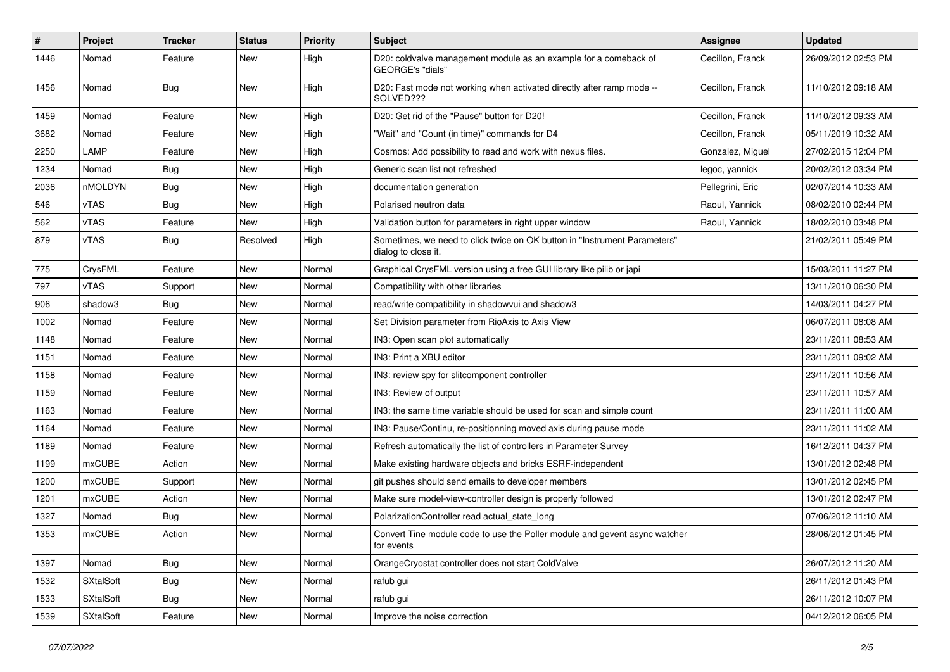| #    | Project   | <b>Tracker</b> | <b>Status</b> | <b>Priority</b> | <b>Subject</b>                                                                                   | Assignee         | <b>Updated</b>      |
|------|-----------|----------------|---------------|-----------------|--------------------------------------------------------------------------------------------------|------------------|---------------------|
| 1446 | Nomad     | Feature        | New           | High            | D20: coldvalve management module as an example for a comeback of<br>GEORGE's "dials"             | Cecillon, Franck | 26/09/2012 02:53 PM |
| 1456 | Nomad     | <b>Bug</b>     | New           | High            | D20: Fast mode not working when activated directly after ramp mode --<br>SOLVED???               | Cecillon, Franck | 11/10/2012 09:18 AM |
| 1459 | Nomad     | Feature        | New           | High            | D20: Get rid of the "Pause" button for D20!                                                      | Cecillon, Franck | 11/10/2012 09:33 AM |
| 3682 | Nomad     | Feature        | New           | High            | "Wait" and "Count (in time)" commands for D4                                                     | Cecillon, Franck | 05/11/2019 10:32 AM |
| 2250 | LAMP      | Feature        | New           | High            | Cosmos: Add possibility to read and work with nexus files.                                       | Gonzalez, Miguel | 27/02/2015 12:04 PM |
| 1234 | Nomad     | Bug            | New           | High            | Generic scan list not refreshed                                                                  | legoc, yannick   | 20/02/2012 03:34 PM |
| 2036 | nMOLDYN   | Bug            | New           | High            | documentation generation                                                                         | Pellegrini, Eric | 02/07/2014 10:33 AM |
| 546  | vTAS      | Bug            | New           | High            | Polarised neutron data                                                                           | Raoul, Yannick   | 08/02/2010 02:44 PM |
| 562  | vTAS      | Feature        | New           | High            | Validation button for parameters in right upper window                                           | Raoul, Yannick   | 18/02/2010 03:48 PM |
| 879  | vTAS      | Bug            | Resolved      | High            | Sometimes, we need to click twice on OK button in "Instrument Parameters"<br>dialog to close it. |                  | 21/02/2011 05:49 PM |
| 775  | CrysFML   | Feature        | New           | Normal          | Graphical CrysFML version using a free GUI library like pilib or japi                            |                  | 15/03/2011 11:27 PM |
| 797  | vTAS      | Support        | New           | Normal          | Compatibility with other libraries                                                               |                  | 13/11/2010 06:30 PM |
| 906  | shadow3   | <b>Bug</b>     | New           | Normal          | read/write compatibility in shadowvui and shadow3                                                |                  | 14/03/2011 04:27 PM |
| 1002 | Nomad     | Feature        | New           | Normal          | Set Division parameter from RioAxis to Axis View                                                 |                  | 06/07/2011 08:08 AM |
| 1148 | Nomad     | Feature        | New           | Normal          | IN3: Open scan plot automatically                                                                |                  | 23/11/2011 08:53 AM |
| 1151 | Nomad     | Feature        | New           | Normal          | IN3: Print a XBU editor                                                                          |                  | 23/11/2011 09:02 AM |
| 1158 | Nomad     | Feature        | New           | Normal          | IN3: review spy for slitcomponent controller                                                     |                  | 23/11/2011 10:56 AM |
| 1159 | Nomad     | Feature        | New           | Normal          | IN3: Review of output                                                                            |                  | 23/11/2011 10:57 AM |
| 1163 | Nomad     | Feature        | New           | Normal          | IN3: the same time variable should be used for scan and simple count                             |                  | 23/11/2011 11:00 AM |
| 1164 | Nomad     | Feature        | New           | Normal          | IN3: Pause/Continu, re-positionning moved axis during pause mode                                 |                  | 23/11/2011 11:02 AM |
| 1189 | Nomad     | Feature        | New           | Normal          | Refresh automatically the list of controllers in Parameter Survey                                |                  | 16/12/2011 04:37 PM |
| 1199 | mxCUBE    | Action         | New           | Normal          | Make existing hardware objects and bricks ESRF-independent                                       |                  | 13/01/2012 02:48 PM |
| 1200 | mxCUBE    | Support        | New           | Normal          | git pushes should send emails to developer members                                               |                  | 13/01/2012 02:45 PM |
| 1201 | mxCUBE    | Action         | New           | Normal          | Make sure model-view-controller design is properly followed                                      |                  | 13/01/2012 02:47 PM |
| 1327 | Nomad     | Bug            | New           | Normal          | PolarizationController read actual_state_long                                                    |                  | 07/06/2012 11:10 AM |
| 1353 | mxCUBE    | Action         | New           | Normal          | Convert Tine module code to use the Poller module and gevent async watcher<br>for events         |                  | 28/06/2012 01:45 PM |
| 1397 | Nomad     | <b>Bug</b>     | <b>New</b>    | Normal          | OrangeCryostat controller does not start ColdValve                                               |                  | 26/07/2012 11:20 AM |
| 1532 | SXtalSoft | <b>Bug</b>     | New           | Normal          | rafub gui                                                                                        |                  | 26/11/2012 01:43 PM |
| 1533 | SXtalSoft | <b>Bug</b>     | New           | Normal          | rafub gui                                                                                        |                  | 26/11/2012 10:07 PM |
| 1539 | SXtalSoft | Feature        | New           | Normal          | Improve the noise correction                                                                     |                  | 04/12/2012 06:05 PM |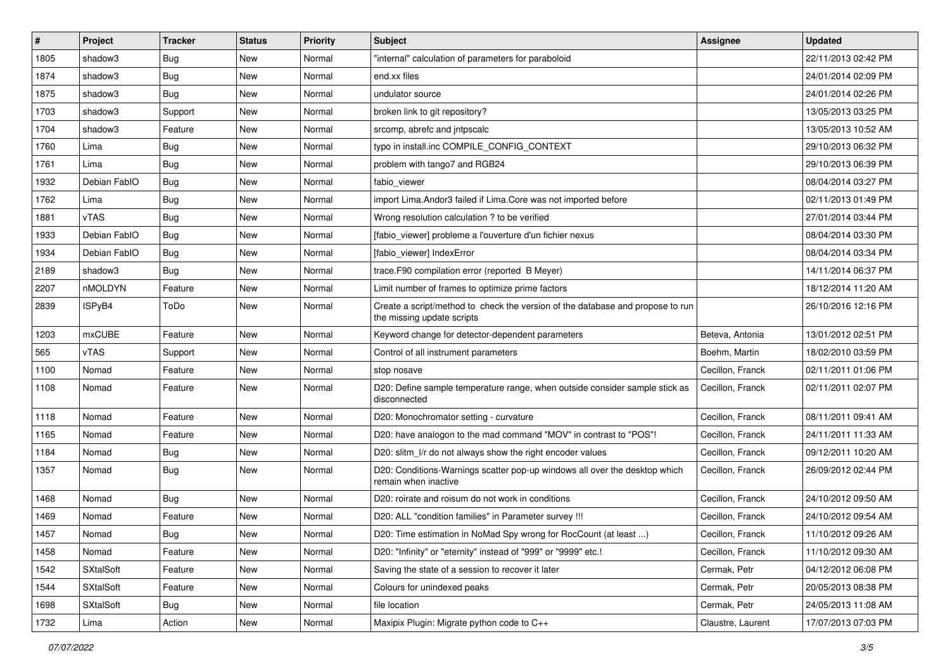| #    | Project          | <b>Tracker</b> | <b>Status</b> | <b>Priority</b> | <b>Subject</b>                                                                                               | <b>Assignee</b>   | <b>Updated</b>      |
|------|------------------|----------------|---------------|-----------------|--------------------------------------------------------------------------------------------------------------|-------------------|---------------------|
| 1805 | shadow3          | <b>Bug</b>     | New           | Normal          | "internal" calculation of parameters for paraboloid                                                          |                   | 22/11/2013 02:42 PM |
| 1874 | shadow3          | <b>Bug</b>     | New           | Normal          | end.xx files                                                                                                 |                   | 24/01/2014 02:09 PM |
| 1875 | shadow3          | <b>Bug</b>     | New           | Normal          | undulator source                                                                                             |                   | 24/01/2014 02:26 PM |
| 1703 | shadow3          | Support        | New           | Normal          | broken link to git repository?                                                                               |                   | 13/05/2013 03:25 PM |
| 1704 | shadow3          | Feature        | New           | Normal          | srcomp, abrefc and jntpscalc                                                                                 |                   | 13/05/2013 10:52 AM |
| 1760 | Lima             | <b>Bug</b>     | New           | Normal          | typo in install.inc COMPILE_CONFIG_CONTEXT                                                                   |                   | 29/10/2013 06:32 PM |
| 1761 | Lima             | <b>Bug</b>     | New           | Normal          | problem with tango7 and RGB24                                                                                |                   | 29/10/2013 06:39 PM |
| 1932 | Debian FablO     | <b>Bug</b>     | New           | Normal          | fabio viewer                                                                                                 |                   | 08/04/2014 03:27 PM |
| 1762 | Lima             | Bug            | New           | Normal          | import Lima. Andor3 failed if Lima. Core was not imported before                                             |                   | 02/11/2013 01:49 PM |
| 1881 | vTAS             | <b>Bug</b>     | New           | Normal          | Wrong resolution calculation ? to be verified                                                                |                   | 27/01/2014 03:44 PM |
| 1933 | Debian FablO     | <b>Bug</b>     | New           | Normal          | [fabio viewer] probleme a l'ouverture d'un fichier nexus                                                     |                   | 08/04/2014 03:30 PM |
| 1934 | Debian FablO     | <b>Bug</b>     | New           | Normal          | [fabio_viewer] IndexError                                                                                    |                   | 08/04/2014 03:34 PM |
| 2189 | shadow3          | Bug            | New           | Normal          | trace.F90 compilation error (reported B Meyer)                                                               |                   | 14/11/2014 06:37 PM |
| 2207 | nMOLDYN          | Feature        | New           | Normal          | Limit number of frames to optimize prime factors                                                             |                   | 18/12/2014 11:20 AM |
| 2839 | ISPyB4           | ToDo           | New           | Normal          | Create a script/method to check the version of the database and propose to run<br>the missing update scripts |                   | 26/10/2016 12:16 PM |
| 1203 | mxCUBE           | Feature        | New           | Normal          | Keyword change for detector-dependent parameters                                                             | Beteva, Antonia   | 13/01/2012 02:51 PM |
| 565  | vTAS             | Support        | New           | Normal          | Control of all instrument parameters                                                                         | Boehm. Martin     | 18/02/2010 03:59 PM |
| 1100 | Nomad            | Feature        | New           | Normal          | stop nosave                                                                                                  | Cecillon, Franck  | 02/11/2011 01:06 PM |
| 1108 | Nomad            | Feature        | New           | Normal          | D20: Define sample temperature range, when outside consider sample stick as<br>disconnected                  | Cecillon, Franck  | 02/11/2011 02:07 PM |
| 1118 | Nomad            | Feature        | New           | Normal          | D20: Monochromator setting - curvature                                                                       | Cecillon, Franck  | 08/11/2011 09:41 AM |
| 1165 | Nomad            | Feature        | New           | Normal          | D20: have analogon to the mad command "MOV" in contrast to "POS"!                                            | Cecillon, Franck  | 24/11/2011 11:33 AM |
| 1184 | Nomad            | Bug            | New           | Normal          | D20: slitm I/r do not always show the right encoder values                                                   | Cecillon, Franck  | 09/12/2011 10:20 AM |
| 1357 | Nomad            | <b>Bug</b>     | New           | Normal          | D20: Conditions-Warnings scatter pop-up windows all over the desktop which<br>remain when inactive           | Cecillon, Franck  | 26/09/2012 02:44 PM |
| 1468 | Nomad            | Bug            | New           | Normal          | D20: roirate and roisum do not work in conditions                                                            | Cecillon, Franck  | 24/10/2012 09:50 AM |
| 1469 | Nomad            | Feature        | New           | Normal          | D20: ALL "condition families" in Parameter survey !!!                                                        | Cecillon, Franck  | 24/10/2012 09:54 AM |
| 1457 | Nomad            | Bug            | New           | Normal          | D20: Time estimation in NoMad Spy wrong for RocCount (at least )                                             | Cecillon, Franck  | 11/10/2012 09:26 AM |
| 1458 | Nomad            | Feature        | New           | Normal          | D20: "Infinity" or "eternity" instead of "999" or "9999" etc.!                                               | Cecillon, Franck  | 11/10/2012 09:30 AM |
| 1542 | <b>SXtalSoft</b> | Feature        | New           | Normal          | Saving the state of a session to recover it later                                                            | Cermak, Petr      | 04/12/2012 06:08 PM |
| 1544 | <b>SXtalSoft</b> | Feature        | New           | Normal          | Colours for unindexed peaks                                                                                  | Cermak, Petr      | 20/05/2013 08:38 PM |
| 1698 | <b>SXtalSoft</b> | Bug            | New           | Normal          | file location                                                                                                | Cermak, Petr      | 24/05/2013 11:08 AM |
| 1732 | Lima             | Action         | New           | Normal          | Maxipix Plugin: Migrate python code to C++                                                                   | Claustre, Laurent | 17/07/2013 07:03 PM |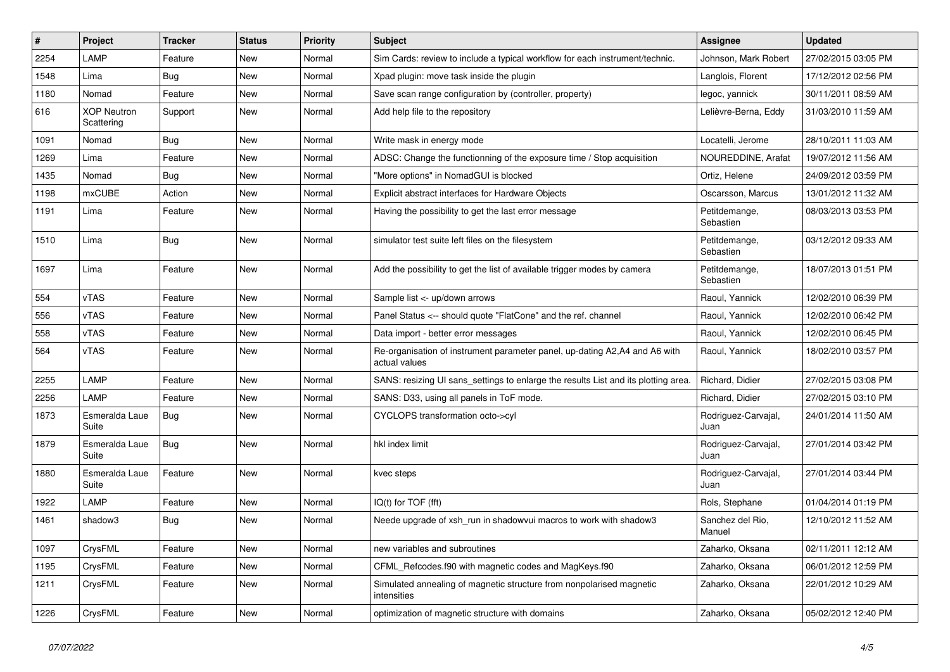| #    | Project                          | <b>Tracker</b> | <b>Status</b> | <b>Priority</b> | <b>Subject</b>                                                                              | <b>Assignee</b>             | <b>Updated</b>      |
|------|----------------------------------|----------------|---------------|-----------------|---------------------------------------------------------------------------------------------|-----------------------------|---------------------|
| 2254 | LAMP                             | Feature        | New           | Normal          | Sim Cards: review to include a typical workflow for each instrument/technic.                | Johnson, Mark Robert        | 27/02/2015 03:05 PM |
| 1548 | Lima                             | <b>Bug</b>     | New           | Normal          | Xpad plugin: move task inside the plugin                                                    | Langlois, Florent           | 17/12/2012 02:56 PM |
| 1180 | Nomad                            | Feature        | New           | Normal          | Save scan range configuration by (controller, property)                                     | legoc, yannick              | 30/11/2011 08:59 AM |
| 616  | <b>XOP Neutron</b><br>Scattering | Support        | New           | Normal          | Add help file to the repository                                                             | Lelièvre-Berna, Eddy        | 31/03/2010 11:59 AM |
| 1091 | Nomad                            | <b>Bug</b>     | New           | Normal          | Write mask in energy mode                                                                   | Locatelli, Jerome           | 28/10/2011 11:03 AM |
| 1269 | Lima                             | Feature        | New           | Normal          | ADSC: Change the functionning of the exposure time / Stop acquisition                       | NOUREDDINE, Arafat          | 19/07/2012 11:56 AM |
| 1435 | Nomad                            | <b>Bug</b>     | New           | Normal          | "More options" in NomadGUI is blocked                                                       | Ortiz, Helene               | 24/09/2012 03:59 PM |
| 1198 | mxCUBE                           | Action         | New           | Normal          | Explicit abstract interfaces for Hardware Objects                                           | Oscarsson, Marcus           | 13/01/2012 11:32 AM |
| 1191 | Lima                             | Feature        | New           | Normal          | Having the possibility to get the last error message                                        | Petitdemange,<br>Sebastien  | 08/03/2013 03:53 PM |
| 1510 | Lima                             | <b>Bug</b>     | New           | Normal          | simulator test suite left files on the filesystem                                           | Petitdemange,<br>Sebastien  | 03/12/2012 09:33 AM |
| 1697 | Lima                             | Feature        | New           | Normal          | Add the possibility to get the list of available trigger modes by camera                    | Petitdemange,<br>Sebastien  | 18/07/2013 01:51 PM |
| 554  | vTAS                             | Feature        | New           | Normal          | Sample list <- up/down arrows                                                               | Raoul, Yannick              | 12/02/2010 06:39 PM |
| 556  | vTAS                             | Feature        | New           | Normal          | Panel Status <-- should quote "FlatCone" and the ref. channel                               | Raoul, Yannick              | 12/02/2010 06:42 PM |
| 558  | vTAS                             | Feature        | New           | Normal          | Data import - better error messages                                                         | Raoul, Yannick              | 12/02/2010 06:45 PM |
| 564  | vTAS                             | Feature        | New           | Normal          | Re-organisation of instrument parameter panel, up-dating A2,A4 and A6 with<br>actual values | Raoul, Yannick              | 18/02/2010 03:57 PM |
| 2255 | LAMP                             | Feature        | <b>New</b>    | Normal          | SANS: resizing UI sans_settings to enlarge the results List and its plotting area.          | Richard, Didier             | 27/02/2015 03:08 PM |
| 2256 | LAMP                             | Feature        | New           | Normal          | SANS: D33, using all panels in ToF mode.                                                    | Richard, Didier             | 27/02/2015 03:10 PM |
| 1873 | Esmeralda Laue<br>Suite          | <b>Bug</b>     | New           | Normal          | CYCLOPS transformation octo->cyl                                                            | Rodriguez-Carvajal,<br>Juan | 24/01/2014 11:50 AM |
| 1879 | Esmeralda Laue<br>Suite          | <b>Bug</b>     | New           | Normal          | hkl index limit                                                                             | Rodriguez-Carvajal,<br>Juan | 27/01/2014 03:42 PM |
| 1880 | Esmeralda Laue<br>Suite          | Feature        | New           | Normal          | kvec steps                                                                                  | Rodriguez-Carvajal,<br>Juan | 27/01/2014 03:44 PM |
| 1922 | LAMP                             | Feature        | New           | Normal          | IQ(t) for TOF (fft)                                                                         | Rols, Stephane              | 01/04/2014 01:19 PM |
| 1461 | shadow3                          | Bug            | New           | Normal          | Neede upgrade of xsh_run in shadowvui macros to work with shadow3                           | Sanchez del Rio,<br>Manuel  | 12/10/2012 11:52 AM |
| 1097 | CrysFML                          | Feature        | New           | Normal          | new variables and subroutines                                                               | Zaharko, Oksana             | 02/11/2011 12:12 AM |
| 1195 | CrysFML                          | Feature        | New           | Normal          | CFML_Refcodes.f90 with magnetic codes and MagKeys.f90                                       | Zaharko, Oksana             | 06/01/2012 12:59 PM |
| 1211 | CrysFML                          | Feature        | New           | Normal          | Simulated annealing of magnetic structure from nonpolarised magnetic<br>intensities         | Zaharko, Oksana             | 22/01/2012 10:29 AM |
| 1226 | CrysFML                          | Feature        | New           | Normal          | optimization of magnetic structure with domains                                             | Zaharko, Oksana             | 05/02/2012 12:40 PM |